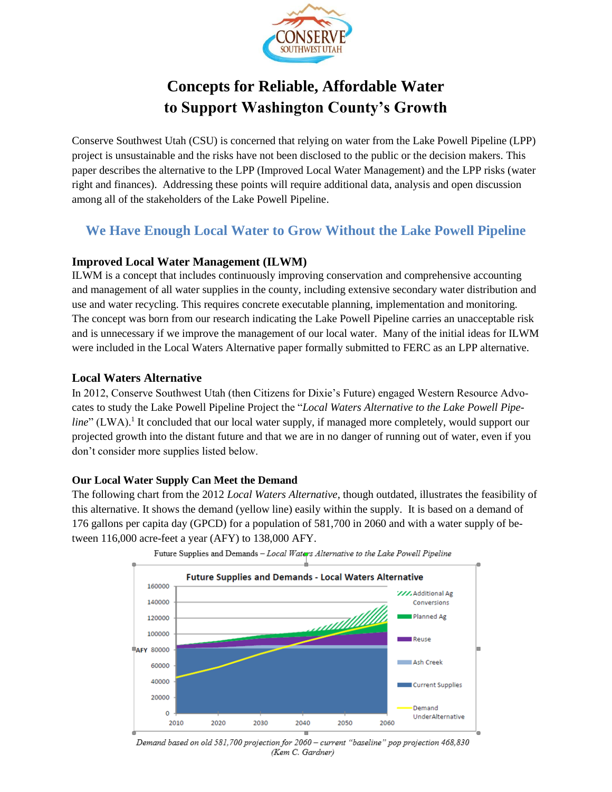

# **Concepts for Reliable, Affordable Water to Support Washington County's Growth**

Conserve Southwest Utah (CSU) is concerned that relying on water from the Lake Powell Pipeline (LPP) project is unsustainable and the risks have not been disclosed to the public or the decision makers. This paper describes the alternative to the LPP (Improved Local Water Management) and the LPP risks (water right and finances). Addressing these points will require additional data, analysis and open discussion among all of the stakeholders of the Lake Powell Pipeline.

## **We Have Enough Local Water to Grow Without the Lake Powell Pipeline**

## **Improved Local Water Management (ILWM)**

ILWM is a concept that includes continuously improving conservation and comprehensive accounting and management of all water supplies in the county, including extensive secondary water distribution and use and water recycling. This requires concrete executable planning, implementation and monitoring. The concept was born from our research indicating the Lake Powell Pipeline carries an unacceptable risk and is unnecessary if we improve the management of our local water. Many of the initial ideas for ILWM were included in the Local Waters Alternative paper formally submitted to FERC as an LPP alternative.

### **Local Waters Alternative**

In 2012, Conserve Southwest Utah (then Citizens for Dixie's Future) engaged Western Resource Advocates to study the Lake Powell Pipeline Project the "*Local Waters Alternative to the Lake Powell Pipe*line" (LWA).<sup>1</sup> It concluded that our local water supply, if managed more completely, would support our projected growth into the distant future and that we are in no danger of running out of water, even if you don't consider more supplies listed below.

### **Our Local Water Supply Can Meet the Demand**

The following chart from the 2012 *Local Waters Alternative*, though outdated, illustrates the feasibility of this alternative. It shows the demand (yellow line) easily within the supply. It is based on a demand of 176 gallons per capita day (GPCD) for a population of 581,700 in 2060 and with a water supply of between 116,000 acre-feet a year (AFY) to 138,000 AFY.





Demand based on old 581,700 projection for 2060 - current "baseline" pop projection 468,830 (Kem C. Gardner)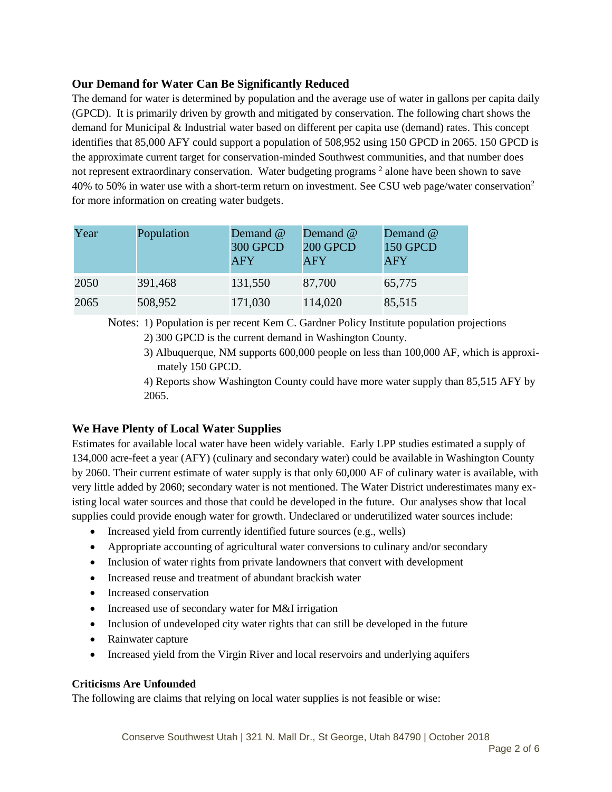## **Our Demand for Water Can Be Significantly Reduced**

The demand for water is determined by population and the average use of water in gallons per capita daily (GPCD). It is primarily driven by growth and mitigated by conservation. The following chart shows the demand for Municipal & Industrial water based on different per capita use (demand) rates. This concept identifies that 85,000 AFY could support a population of 508,952 using 150 GPCD in 2065. 150 GPCD is the approximate current target for conservation-minded Southwest communities, and that number does not represent extraordinary conservation. Water budgeting programs <sup>2</sup> alone have been shown to save 40% to 50% in water use with a short-term return on investment. See CSU web page/water conservation<sup>2</sup> for more information on creating water budgets.

| Year | Population | Demand @<br><b>300 GPCD</b><br><b>AFY</b> | Demand @<br><b>200 GPCD</b><br><b>AFY</b> | Demand @<br>150 GPCD<br><b>AFY</b> |
|------|------------|-------------------------------------------|-------------------------------------------|------------------------------------|
| 2050 | 391,468    | 131,550                                   | 87,700                                    | 65,775                             |
| 2065 | 508,952    | 171,030                                   | 114,020                                   | 85,515                             |

Notes: 1) Population is per recent Kem C. Gardner Policy Institute population projections

- 2) 300 GPCD is the current demand in Washington County.
- 3) Albuquerque, NM supports 600,000 people on less than 100,000 AF, which is approximately 150 GPCD.

4) Reports show Washington County could have more water supply than 85,515 AFY by 2065.

### **We Have Plenty of Local Water Supplies**

Estimates for available local water have been widely variable. Early LPP studies estimated a supply of 134,000 acre-feet a year (AFY) (culinary and secondary water) could be available in Washington County by 2060. Their current estimate of water supply is that only 60,000 AF of culinary water is available, with very little added by 2060; secondary water is not mentioned. The Water District underestimates many existing local water sources and those that could be developed in the future. Our analyses show that local supplies could provide enough water for growth. Undeclared or underutilized water sources include:

- Increased yield from currently identified future sources (e.g., wells)
- Appropriate accounting of agricultural water conversions to culinary and/or secondary
- Inclusion of water rights from private landowners that convert with development
- Increased reuse and treatment of abundant brackish water
- Increased conservation
- Increased use of secondary water for M&I irrigation
- Inclusion of undeveloped city water rights that can still be developed in the future
- Rainwater capture
- Increased yield from the Virgin River and local reservoirs and underlying aquifers

### **Criticisms Are Unfounded**

The following are claims that relying on local water supplies is not feasible or wise: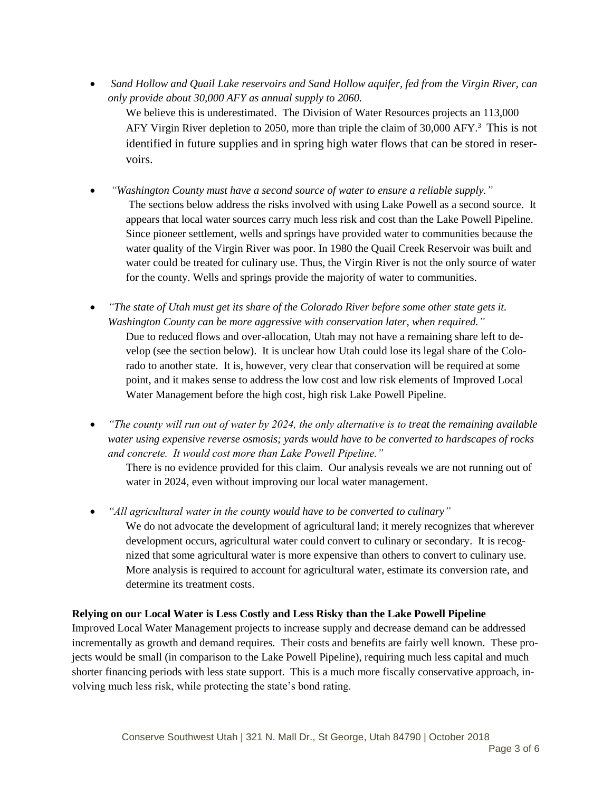*Sand Hollow and Quail Lake reservoirs and Sand Hollow aquifer, fed from the Virgin River, can only provide about 30,000 AFY as annual supply to 2060.*

We believe this is underestimated. The Division of Water Resources projects an 113,000 AFY Virgin River depletion to 2050, more than triple the claim of 30,000 AFY.<sup>3</sup> This is not identified in future supplies and in spring high water flows that can be stored in reservoirs.

- *"Washington County must have a second source of water to ensure a reliable supply."* The sections below address the risks involved with using Lake Powell as a second source. It appears that local water sources carry much less risk and cost than the Lake Powell Pipeline. Since pioneer settlement, wells and springs have provided water to communities because the water quality of the Virgin River was poor. In 1980 the Quail Creek Reservoir was built and water could be treated for culinary use. Thus, the Virgin River is not the only source of water for the county. Wells and springs provide the majority of water to communities.
- *"The state of Utah must get its share of the Colorado River before some other state gets it. Washington County can be more aggressive with conservation later, when required."* Due to reduced flows and over-allocation, Utah may not have a remaining share left to develop (see the section below). It is unclear how Utah could lose its legal share of the Colorado to another state. It is, however, very clear that conservation will be required at some point, and it makes sense to address the low cost and low risk elements of Improved Local Water Management before the high cost, high risk Lake Powell Pipeline.
- *"The county will run out of water by 2024, the only alternative is to treat the remaining available water using expensive reverse osmosis; yards would have to be converted to hardscapes of rocks and concrete. It would cost more than Lake Powell Pipeline."*

There is no evidence provided for this claim. Our analysis reveals we are not running out of water in 2024, even without improving our local water management.

 *"All agricultural water in the county would have to be converted to culinary"*  We do not advocate the development of agricultural land; it merely recognizes that wherever development occurs, agricultural water could convert to culinary or secondary. It is recognized that some agricultural water is more expensive than others to convert to culinary use. More analysis is required to account for agricultural water, estimate its conversion rate, and determine its treatment costs.

### **Relying on our Local Water is Less Costly and Less Risky than the Lake Powell Pipeline**

Improved Local Water Management projects to increase supply and decrease demand can be addressed incrementally as growth and demand requires. Their costs and benefits are fairly well known. These projects would be small (in comparison to the Lake Powell Pipeline), requiring much less capital and much shorter financing periods with less state support. This is a much more fiscally conservative approach, involving much less risk, while protecting the state's bond rating.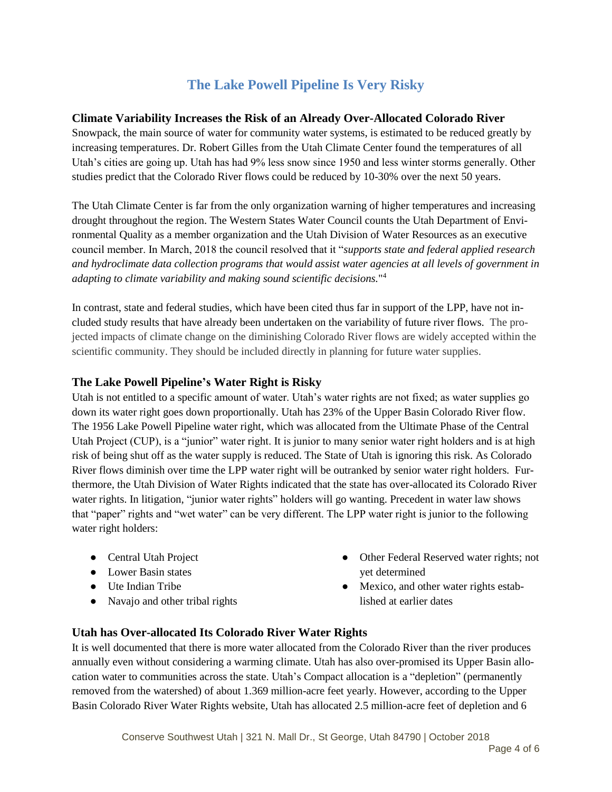## **The Lake Powell Pipeline Is Very Risky**

### **Climate Variability Increases the Risk of an Already Over-Allocated Colorado River**

Snowpack, the main source of water for community water systems, is estimated to be reduced greatly by increasing temperatures. Dr. Robert Gilles from the Utah Climate Center found the temperatures of all Utah's cities are going up. Utah has had 9% less snow since 1950 and less winter storms generally. Other studies predict that the Colorado River flows could be reduced by 10-30% over the next 50 years.

The Utah Climate Center is far from the only organization warning of higher temperatures and increasing drought throughout the region. The Western States Water Council counts the Utah Department of Environmental Quality as a member organization and the Utah Division of Water Resources as an executive council member. In March, 2018 the council resolved that it "*supports state and federal applied research and hydroclimate data collection programs that would assist water agencies at all levels of government in adapting to climate variability and making sound scientific decisions.*" 4

In contrast, state and federal studies, which have been cited thus far in support of the LPP, have not included study results that have already been undertaken on the variability of future river flows. The projected impacts of climate change on the diminishing Colorado River flows are widely accepted within the scientific community. They should be included directly in planning for future water supplies.

## **The Lake Powell Pipeline's Water Right is Risky**

Utah is not entitled to a specific amount of water. Utah's water rights are not fixed; as water supplies go down its water right goes down proportionally. Utah has 23% of the Upper Basin Colorado River flow. The 1956 Lake Powell Pipeline water right, which was allocated from the Ultimate Phase of the Central Utah Project (CUP), is a "junior" water right. It is junior to many senior water right holders and is at high risk of being shut off as the water supply is reduced. The State of Utah is ignoring this risk. As Colorado River flows diminish over time the LPP water right will be outranked by senior water right holders. Furthermore, the Utah Division of Water Rights indicated that the state has over-allocated its Colorado River water rights. In litigation, "junior water rights" holders will go wanting. Precedent in water law shows that "paper" rights and "wet water" can be very different. The LPP water right is junior to the following water right holders:

- Central Utah Project
- Lower Basin states
- Ute Indian Tribe
- Navajo and other tribal rights
- Other Federal Reserved water rights; not yet determined
- Mexico, and other water rights established at earlier dates

## **Utah has Over-allocated Its Colorado River Water Rights**

It is well documented that there is more water allocated from the Colorado River than the river produces annually even without considering a warming climate. Utah has also over-promised its Upper Basin allocation water to communities across the state. Utah's Compact allocation is a "depletion" (permanently removed from the watershed) of about 1.369 million-acre feet yearly. However, according to the Upper Basin Colorado River Water Rights website, Utah has allocated 2.5 million-acre feet of depletion and 6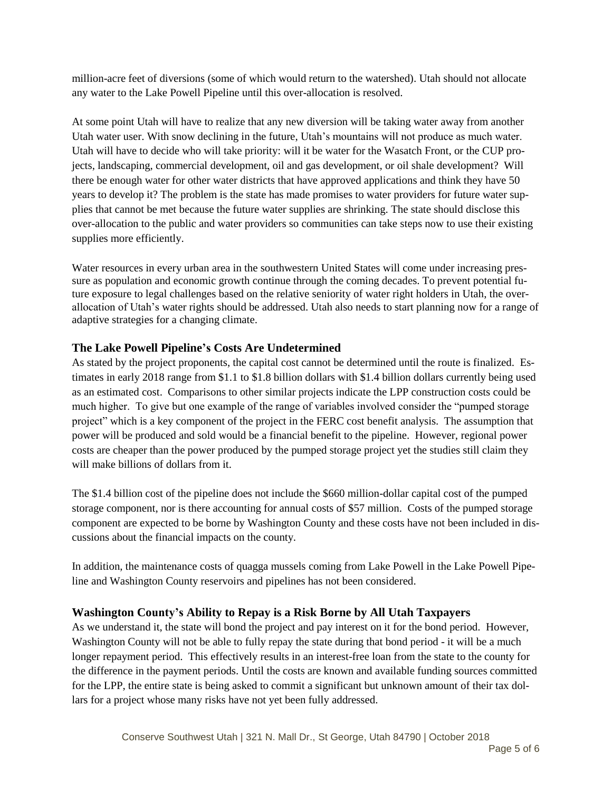million-acre feet of diversions (some of which would return to the watershed). Utah should not allocate any water to the Lake Powell Pipeline until this over-allocation is resolved.

At some point Utah will have to realize that any new diversion will be taking water away from another Utah water user. With snow declining in the future, Utah's mountains will not produce as much water. Utah will have to decide who will take priority: will it be water for the Wasatch Front, or the CUP projects, landscaping, commercial development, oil and gas development, or oil shale development? Will there be enough water for other water districts that have approved applications and think they have 50 years to develop it? The problem is the state has made promises to water providers for future water supplies that cannot be met because the future water supplies are shrinking. The state should disclose this over-allocation to the public and water providers so communities can take steps now to use their existing supplies more efficiently.

Water resources in every urban area in the southwestern United States will come under increasing pressure as population and economic growth continue through the coming decades. To prevent potential future exposure to legal challenges based on the relative seniority of water right holders in Utah, the overallocation of Utah's water rights should be addressed. Utah also needs to start planning now for a range of adaptive strategies for a changing climate.

## **The Lake Powell Pipeline's Costs Are Undetermined**

As stated by the project proponents, the capital cost cannot be determined until the route is finalized. Estimates in early 2018 range from \$1.1 to \$1.8 billion dollars with \$1.4 billion dollars currently being used as an estimated cost. Comparisons to other similar projects indicate the LPP construction costs could be much higher. To give but one example of the range of variables involved consider the "pumped storage project" which is a key component of the project in the FERC cost benefit analysis. The assumption that power will be produced and sold would be a financial benefit to the pipeline. However, regional power costs are cheaper than the power produced by the pumped storage project yet the studies still claim they will make billions of dollars from it.

The \$1.4 billion cost of the pipeline does not include the \$660 million-dollar capital cost of the pumped storage component, nor is there accounting for annual costs of \$57 million. Costs of the pumped storage component are expected to be borne by Washington County and these costs have not been included in discussions about the financial impacts on the county.

In addition, the maintenance costs of quagga mussels coming from Lake Powell in the Lake Powell Pipeline and Washington County reservoirs and pipelines has not been considered.

## **Washington County's Ability to Repay is a Risk Borne by All Utah Taxpayers**

As we understand it, the state will bond the project and pay interest on it for the bond period. However, Washington County will not be able to fully repay the state during that bond period - it will be a much longer repayment period. This effectively results in an interest-free loan from the state to the county for the difference in the payment periods. Until the costs are known and available funding sources committed for the LPP, the entire state is being asked to commit a significant but unknown amount of their tax dollars for a project whose many risks have not yet been fully addressed.